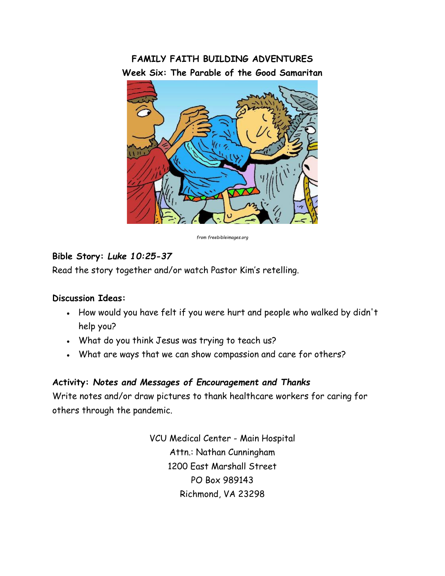# **FAMILY FAITH BUILDING ADVENTURES Week Six: The Parable of the Good Samaritan**



*from freebibleimages.org*

## **Bible Story:** *Luke 10:25-37*

Read the story together and/or watch Pastor Kim's retelling.

#### **Discussion Ideas:**

- How would you have felt if you were hurt and people who walked by didn't help you?
- What do you think Jesus was trying to teach us?
- What are ways that we can show compassion and care for others?

## **Activity:** *Notes and Messages of Encouragement and Thanks*

Write notes and/or draw pictures to thank healthcare workers for caring for others through the pandemic.

> VCU Medical Center - Main Hospital Attn.: Nathan Cunningham 1200 East Marshall Street PO Box 989143 Richmond, VA 23298